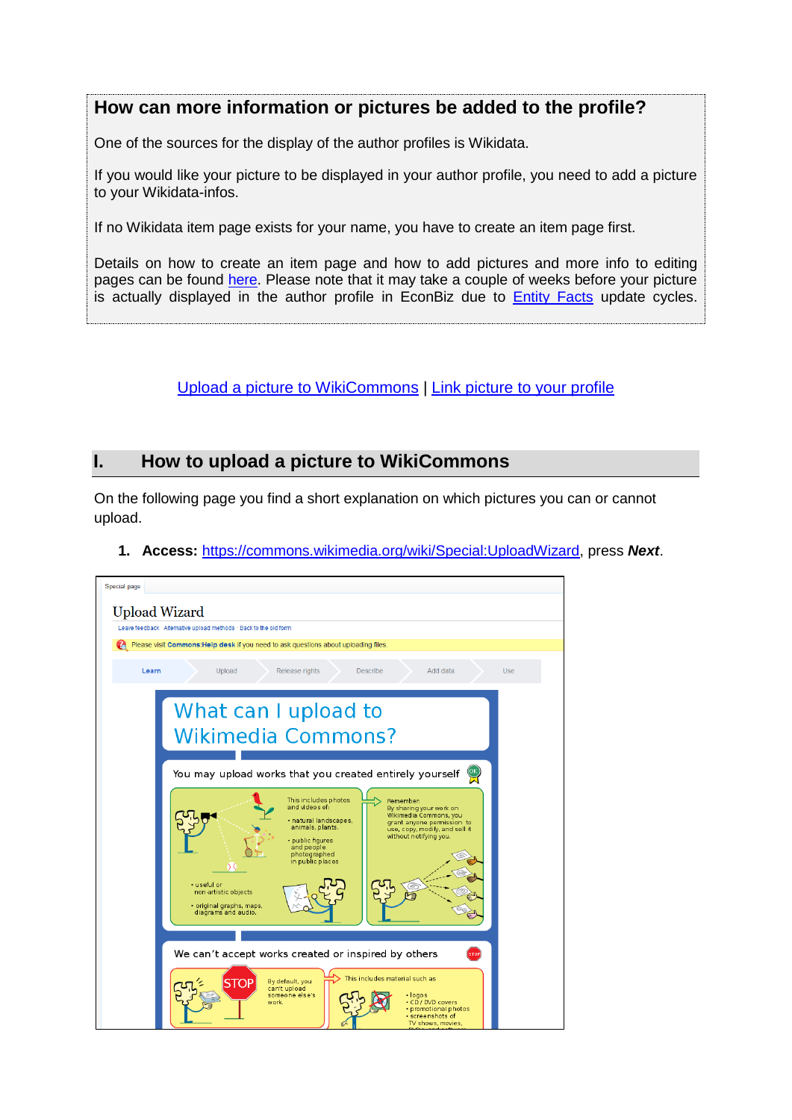# **How can more information or pictures be added to the profile?**

One of the sources for the display of the author profiles is Wikidata.

If you would like your picture to be displayed in your author profile, you need to add a picture to your Wikidata-infos.

If no Wikidata item page exists for your name, you have to create an item page first.

Details on how to create an item page and how to add pictures and more info to editing pages can be found [here.](https://www.wikidata.org/wiki/Help:Items) Please note that it may take a couple of weeks before your picture is actually displayed in the author profile in EconBiz due to **[Entity Facts](https://www.dnb.de/EN/Professionell/Metadatendienste/Datenbezug/Entity-Facts/entity-facts_node.html)** update cycles.

### [Upload a picture to WikiCommons](#page-0-0) | [Link picture to your profile](#page-4-0)

## <span id="page-0-0"></span>**I. How to upload a picture to WikiCommons**

On the following page you find a short explanation on which pictures you can or cannot upload.



**1. Access:** [https://commons.wikimedia.org/wiki/Special:UploadWizard,](https://commons.wikimedia.org/wiki/Special:UploadWizard) press *Next*.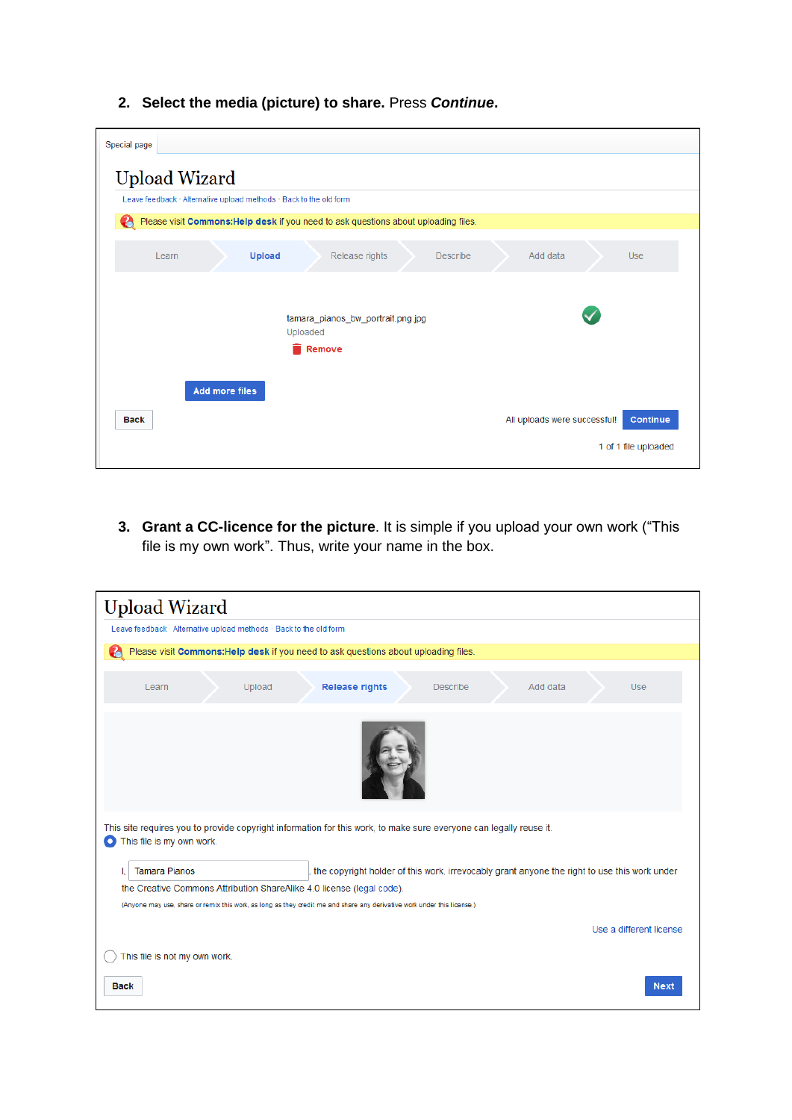## **2. Select the media (picture) to share.** Press *Continue***.**

| Special page                                                                             |
|------------------------------------------------------------------------------------------|
| <b>Upload Wizard</b>                                                                     |
| Leave feedback · Alternative upload methods · Back to the old form                       |
| Ø<br>Please visit Commons: Help desk if you need to ask questions about uploading files. |
| <b>Upload</b><br>Release rights<br><b>Describe</b><br>Add data<br><b>Use</b><br>Learn    |
| tamara pianos bw portrait.png.jpg<br>Uploaded<br>Remove                                  |
| <b>Add more files</b><br><b>Continue</b><br>All uploads were successful!<br><b>Back</b>  |
| 1 of 1 file uploaded                                                                     |

**3. Grant a CC-licence for the picture**. It is simple if you upload your own work ("This file is my own work". Thus, write your name in the box.

| <b>Upload Wizard</b>                                                                                                                                         |
|--------------------------------------------------------------------------------------------------------------------------------------------------------------|
| Leave feedback · Alternative upload methods · Back to the old form                                                                                           |
| Please visit Commons: Help desk if you need to ask questions about uploading files.                                                                          |
| <b>Release rights</b><br><b>Describe</b><br>Add data<br>Learn<br>Upload<br><b>Use</b>                                                                        |
|                                                                                                                                                              |
| This site requires you to provide copyright information for this work, to make sure everyone can legally reuse it.<br>This file is my own work.<br>$\bullet$ |
| <b>Tamara Pianos</b><br>the copyright holder of this work, irrevocably grant anyone the right to use this work under                                         |
| the Creative Commons Attribution ShareAlike 4.0 license (legal code).                                                                                        |
| (Anyone may use, share or remix this work, as long as they credit me and share any derivative work under this license.)                                      |
| Use a different license                                                                                                                                      |
| This file is not my own work.                                                                                                                                |
| <b>Next</b><br><b>Back</b>                                                                                                                                   |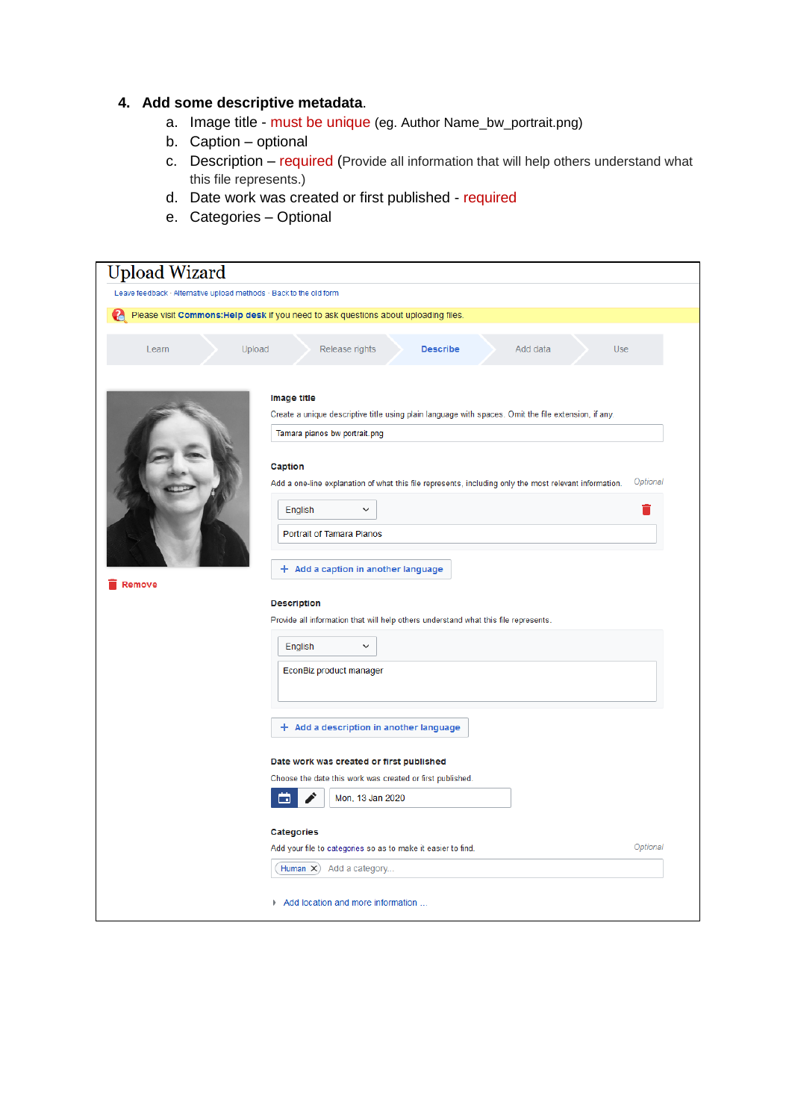#### **4. Add some descriptive metadata**.

- a. Image title must be unique (eg. Author Name\_bw\_portrait.png)
- b. Caption optional
- c. Description required (Provide all information that will help others understand what this file represents.)
- d. Date work was created or first published required
- e. Categories Optional

| Upload Wizard                                                      |                                                                                                                                                                                                                       |
|--------------------------------------------------------------------|-----------------------------------------------------------------------------------------------------------------------------------------------------------------------------------------------------------------------|
| Leave feedback · Alternative upload methods · Back to the old form |                                                                                                                                                                                                                       |
|                                                                    | Please visit Commons: Help desk if you need to ask questions about uploading files.                                                                                                                                   |
| Upload<br>Learn                                                    | Use<br>Release rights<br>Add data<br><b>Describe</b>                                                                                                                                                                  |
|                                                                    | Image title<br>Create a unique descriptive title using plain language with spaces. Omit the file extension, if any.                                                                                                   |
|                                                                    | Tamara pianos bw portrait.png<br>Caption<br>Optional<br>Add a one-line explanation of what this file represents, including only the most relevant information.<br>English<br>$\check{ }$<br>Portrait of Tamara Pianos |
| Remove                                                             | + Add a caption in another language<br><b>Description</b><br>Provide all information that will help others understand what this file represents.                                                                      |
|                                                                    | English<br>$\checkmark$                                                                                                                                                                                               |
|                                                                    | EconBiz product manager                                                                                                                                                                                               |
|                                                                    | $+$ Add a description in another language                                                                                                                                                                             |
|                                                                    | Date work was created or first published                                                                                                                                                                              |
|                                                                    | Choose the date this work was created or first published.<br>Mon, 13 Jan 2020<br><b>D</b>                                                                                                                             |
|                                                                    | <b>Categories</b>                                                                                                                                                                                                     |
|                                                                    | Optional<br>Add your file to categories so as to make it easier to find.<br>Human $\times$ )<br>Add a category                                                                                                        |
|                                                                    | Add location and more information                                                                                                                                                                                     |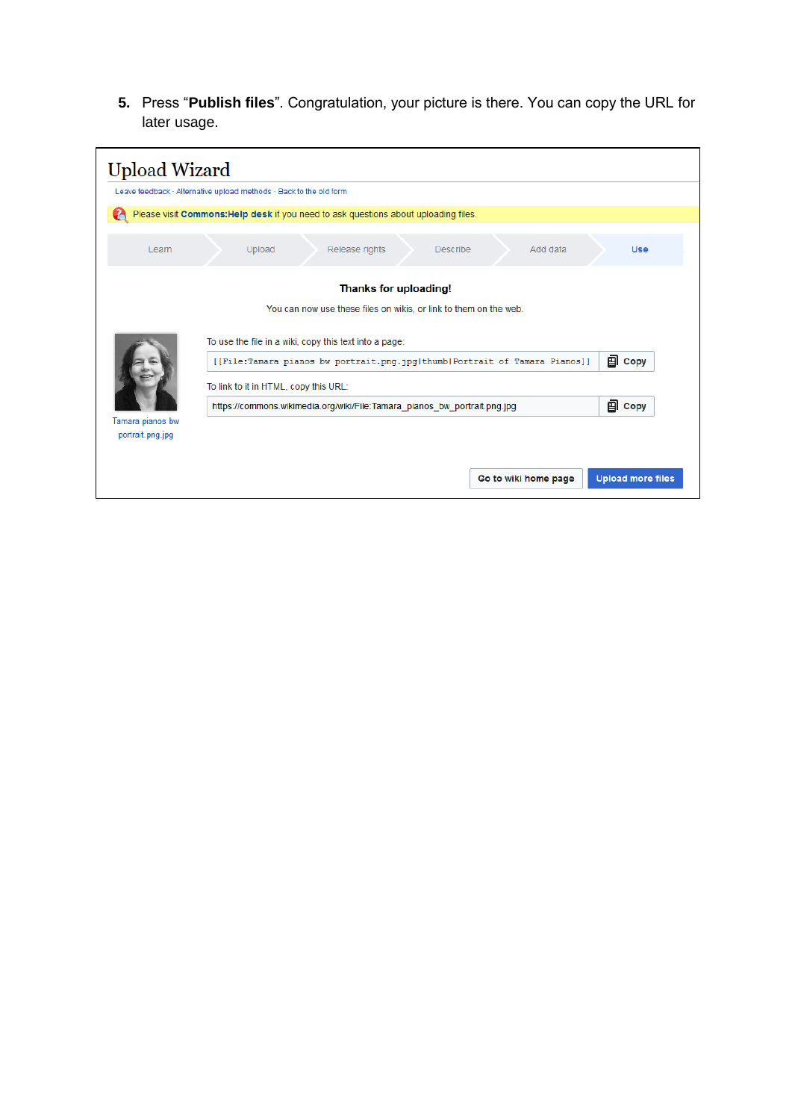**5.** Press "**Publish files**". Congratulation, your picture is there. You can copy the URL for later usage.

| <b>Upload Wizard</b>                                                                                                                 |                                                                    |                                                                                            |               |                 |                      |                          |  |
|--------------------------------------------------------------------------------------------------------------------------------------|--------------------------------------------------------------------|--------------------------------------------------------------------------------------------|---------------|-----------------|----------------------|--------------------------|--|
|                                                                                                                                      | Leave feedback · Alternative upload methods · Back to the old form |                                                                                            |               |                 |                      |                          |  |
|                                                                                                                                      |                                                                    | Please visit Commons: Help desk if you need to ask questions about uploading files.        |               |                 |                      |                          |  |
| Learn                                                                                                                                | Upload                                                             | Release rights                                                                             |               | <b>Describe</b> | Add data             | <b>Use</b>               |  |
|                                                                                                                                      |                                                                    | Thanks for uploading!<br>You can now use these files on wikis, or link to them on the web. |               |                 |                      |                          |  |
| To use the file in a wiki, copy this text into a page:<br>[[File:Tamara pianos bw portrait.png.jpg thumb Portrait of Tamara Pianos]] |                                                                    |                                                                                            | <b>图 Copy</b> |                 |                      |                          |  |
|                                                                                                                                      |                                                                    | To link to it in HTML, copy this URL:                                                      |               |                 |                      |                          |  |
| Tamara pianos bw                                                                                                                     |                                                                    | https://commons.wikimedia.org/wiki/File:Tamara pianos bw portrait.png.jpg                  |               |                 |                      | <b>图 Copy</b>            |  |
| portrait.png.jpg                                                                                                                     |                                                                    |                                                                                            |               |                 |                      |                          |  |
|                                                                                                                                      |                                                                    |                                                                                            |               |                 | Go to wiki home page | <b>Upload more files</b> |  |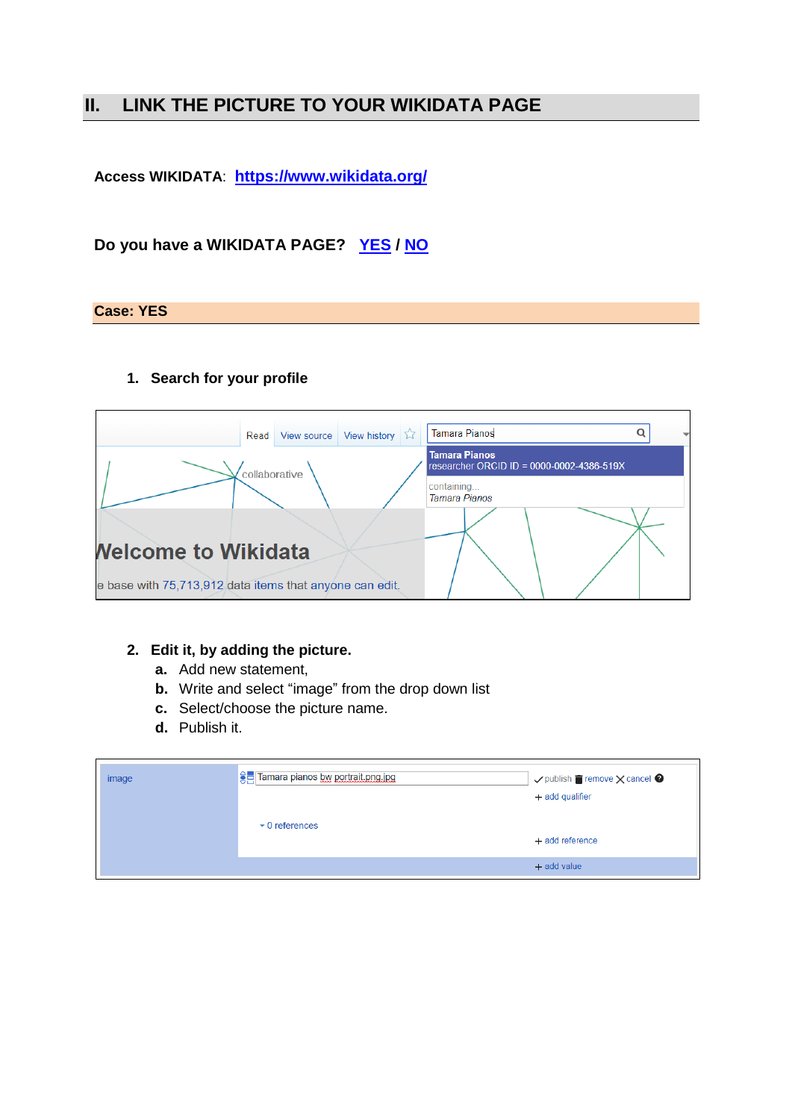# <span id="page-4-0"></span>**II. LINK THE PICTURE TO YOUR WIKIDATA PAGE**

**Access WIKIDATA**: **<https://www.wikidata.org/>**

## **Do you have a WIKIDATA PAGE? [YES](#page-4-1) / [NO](#page-5-0)**

#### <span id="page-4-1"></span>**Case: YES**

#### **1. Search for your profile**

| Read                                                    | View source   | View history $\sqrt{2}$ | <b>Tamara Pianos</b>                                              | Q |
|---------------------------------------------------------|---------------|-------------------------|-------------------------------------------------------------------|---|
|                                                         | collaborative |                         | <b>Tamara Pianos</b><br>researcher ORCID ID = 0000-0002-4386-519X |   |
|                                                         |               |                         | containing<br><b>Tamara Pianos</b>                                |   |
|                                                         |               |                         |                                                                   |   |
| <b>Nelcome to Wikidata</b>                              |               |                         |                                                                   |   |
| e base with 75,713,912 data items that anyone can edit. |               |                         |                                                                   |   |

#### **2. Edit it, by adding the picture.**

- **a.** Add new statement,
- **b.** Write and select "image" from the drop down list
- **c.** Select/choose the picture name.
- **d.** Publish it.

| image | <b>Command planos bw portrait.png.jpg</b> | $\checkmark$ publish $\blacksquare$ remove $\times$ cancel $\heartsuit$<br>+ add qualifier |
|-------|-------------------------------------------|--------------------------------------------------------------------------------------------|
|       | $\bullet$ 0 references                    | + add reference                                                                            |
|       |                                           | $+$ add value                                                                              |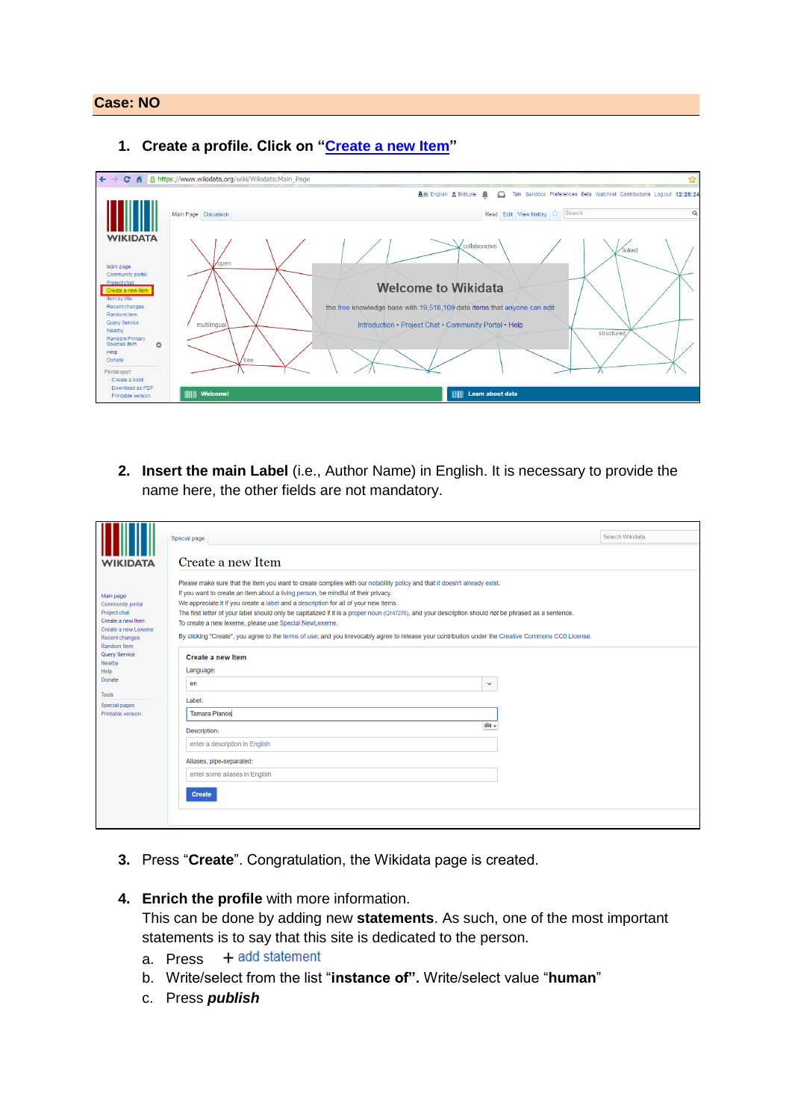#### <span id="page-5-0"></span>**Case: NO**

**1. Create a profile. Click on ["Create a new Item"](https://www.wikidata.org/wiki/Special:NewItem)** 



**2. Insert the main Label** (i.e., Author Name) in English. It is necessary to provide the name here, the other fields are not mandatory.

|                                                                                                                            | Search Wikidata<br>Special page                                                                                                                                                                                                                                                                                                                                                                                                                                                                                                                                                                                                                                               |
|----------------------------------------------------------------------------------------------------------------------------|-------------------------------------------------------------------------------------------------------------------------------------------------------------------------------------------------------------------------------------------------------------------------------------------------------------------------------------------------------------------------------------------------------------------------------------------------------------------------------------------------------------------------------------------------------------------------------------------------------------------------------------------------------------------------------|
| <b>WIKIDATA</b>                                                                                                            | Create a new Item                                                                                                                                                                                                                                                                                                                                                                                                                                                                                                                                                                                                                                                             |
| Main page<br>Community portal<br>Project chat<br>Create a new Item<br>Create a new Lexeme<br>Recent changes<br>Random Item | Please make sure that the item you want to create complies with our notability policy and that it doesn't already exist.<br>If you want to create an item about a living person, be mindful of their privacy.<br>We appreciate it if you create a label and a description for all of your new items.<br>The first letter of your label should only be capitalized if it is a proper noun (Q147276), and your description should not be phrased as a sentence.<br>To create a new lexeme, please use Special:NewLexeme,<br>By clicking "Create", you agree to the terms of use, and you irrevocably agree to release your contribution under the Creative Commons CC0 License. |
| <b>Query Service</b><br>Nearby                                                                                             | Create a new Item                                                                                                                                                                                                                                                                                                                                                                                                                                                                                                                                                                                                                                                             |
| Help                                                                                                                       | Language:                                                                                                                                                                                                                                                                                                                                                                                                                                                                                                                                                                                                                                                                     |
| Donate                                                                                                                     | en<br>$\check{~}$                                                                                                                                                                                                                                                                                                                                                                                                                                                                                                                                                                                                                                                             |
| <b>Tools</b><br>Special pages                                                                                              | Label:                                                                                                                                                                                                                                                                                                                                                                                                                                                                                                                                                                                                                                                                        |
| Printable version                                                                                                          | <b>Tamara Pianos</b>                                                                                                                                                                                                                                                                                                                                                                                                                                                                                                                                                                                                                                                          |
|                                                                                                                            | m-<br>Description:                                                                                                                                                                                                                                                                                                                                                                                                                                                                                                                                                                                                                                                            |
|                                                                                                                            | enter a description in English                                                                                                                                                                                                                                                                                                                                                                                                                                                                                                                                                                                                                                                |
|                                                                                                                            | Aliases, pipe-separated:                                                                                                                                                                                                                                                                                                                                                                                                                                                                                                                                                                                                                                                      |
|                                                                                                                            | enter some aliases in English                                                                                                                                                                                                                                                                                                                                                                                                                                                                                                                                                                                                                                                 |
|                                                                                                                            | Create                                                                                                                                                                                                                                                                                                                                                                                                                                                                                                                                                                                                                                                                        |
|                                                                                                                            |                                                                                                                                                                                                                                                                                                                                                                                                                                                                                                                                                                                                                                                                               |

- **3.** Press "**Create**". Congratulation, the Wikidata page is created.
- **4. Enrich the profile** with more information.

This can be done by adding new **statements**. As such, one of the most important statements is to say that this site is dedicated to the person.

- + add statement a. Press
- b. Write/select from the list "**instance of".** Write/select value "**human**"
- c. Press *publish*